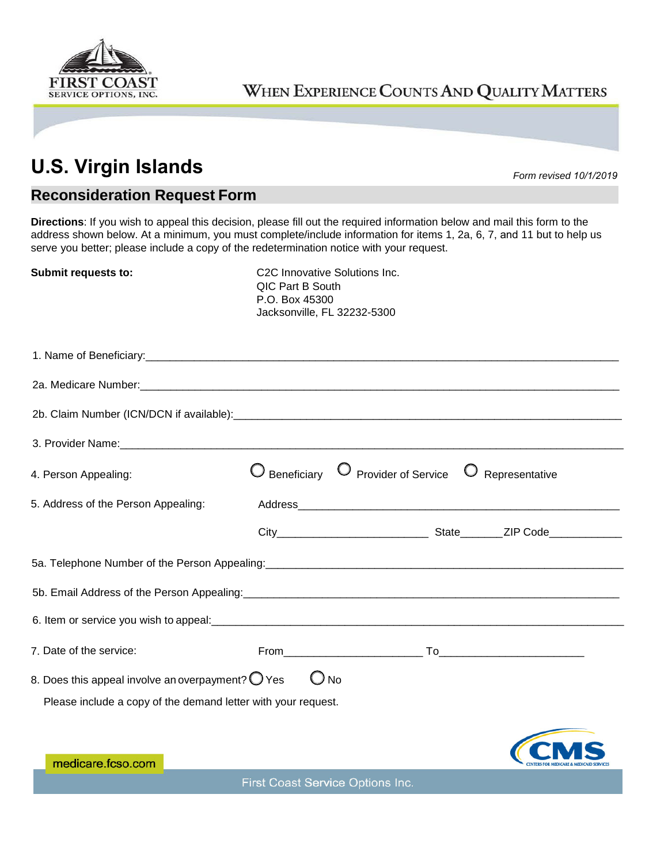

## WHEN EXPERIENCE COUNTS AND QUALITY MATTERS

## **U.S. Virgin Islands** *Form revised 10/1/2019*

## **Reconsideration Request Form**

**Directions**: If you wish to appeal this decision, please fill out the required information below and mail this form to the address shown below. At a minimum, you must complete/include information for items 1, 2a, 6, 7, and 11 but to help us serve you better; please include a copy of the redetermination notice with your request.

**Submit requests to:** C2C Innovative Solutions Inc. QIC Part B South P.O. Box 45300 Jacksonville, FL 32232-5300

| 4. Person Appealing:                                                                                                                                                                                                           |  | Beneficiary O Provider of Service O Representative |  |
|--------------------------------------------------------------------------------------------------------------------------------------------------------------------------------------------------------------------------------|--|----------------------------------------------------|--|
| 5. Address of the Person Appealing:                                                                                                                                                                                            |  |                                                    |  |
|                                                                                                                                                                                                                                |  |                                                    |  |
| 5a. Telephone Number of the Person Appealing: [10] The Content of the Person Appealing: [20] The Content of the Person Appealing: [20] The Content of the Content of the Content of the Content of the Content of the Content  |  |                                                    |  |
|                                                                                                                                                                                                                                |  |                                                    |  |
| 6. Item or service you wish to appeal: example and a service of the service of the service of the service of the service of the service of the service of the service of the service of the service of the service of the serv |  |                                                    |  |
| 7. Date of the service:                                                                                                                                                                                                        |  |                                                    |  |
| 8. Does this appeal involve an overpayment? $\bigcirc$ Yes<br>$\bigcup$ No<br>Please include a copy of the demand letter with your request.                                                                                    |  |                                                    |  |
| medicare.fcso.com                                                                                                                                                                                                              |  |                                                    |  |

First Coast Service Options Inc.